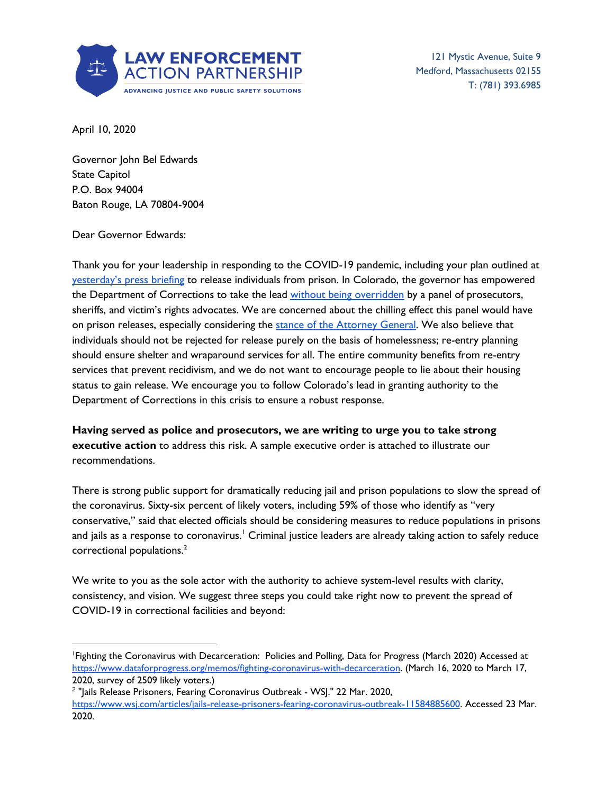

121 Mystic Avenue, Suite 9 Medford, Massachusetts 02155 T: (781) 393.6985

April 10, 2020

Governor John Bel Edwards State Capitol P.O. Box 94004 Baton Rouge, LA 70804-9004

Dear Governor Edwards:

Thank you for your leadership in responding to the COVID-19 pandemic, including your plan outlined at [yesterday's](https://www.katc.com/news/covering-louisiana/gov-edwards-to-hold-thursday-press-briefing-on-covid-19) press briefing to release individuals from prison. In Colorado, the governor has empowered the Department of Corrections to take the lead without being [overridden](https://www.denverpost.com/2020/03/26/polis-executive-orders-coronavirus-relief/) by a panel of prosecutors, sheriffs, and victim's rights advocates. We are concerned about the chilling effect this panel would have on prison releases, especially considering the stance of the [Attorney](https://www.nola.com/news/coronavirus/article_ed917360-75f5-11ea-a4d6-97a7fed5b93c.html) General. We also believe that individuals should not be rejected for release purely on the basis of homelessness; re-entry planning should ensure shelter and wraparound services for all. The entire community benefits from re-entry services that prevent recidivism, and we do not want to encourage people to lie about their housing status to gain release. We encourage you to follow Colorado's lead in granting authority to the Department of Corrections in this crisis to ensure a robust response.

**Having served as police and prosecutors, we are writing to urge you to take strong executive action** to address this risk. A sample executive order is attached to illustrate our recommendations.

There is strong public support for dramatically reducing jail and prison populations to slow the spread of the coronavirus. Sixty-six percent of likely voters, including 59% of those who identify as "very conservative," said that elected officials should be considering measures to reduce populations in prisons and jails as a response to coronavirus.' Criminal justice leaders are already taking action to safely reduce correctional populations. 2

We write to you as the sole actor with the authority to achieve system-level results with clarity, consistency, and vision. We suggest three steps you could take right now to prevent the spread of COVID-19 in correctional facilities and beyond:

<sup>1</sup>Fighting the Coronavirus with Decarceration: Policies and Polling, Data for Progress (March 2020) Accessed at <https://www.dataforprogress.org/memos/fighting-coronavirus-with-decarceration>. (March 16, 2020 to March 17, 2020, survey of 2509 likely voters.)

<sup>&</sup>lt;sup>2</sup> "Jails Release Prisoners, Fearing Coronavirus Outbreak - WSJ." 22 Mar. 2020, <https://www.wsj.com/articles/jails-release-prisoners-fearing-coronavirus-outbreak-11584885600>. Accessed 23 Mar. 2020.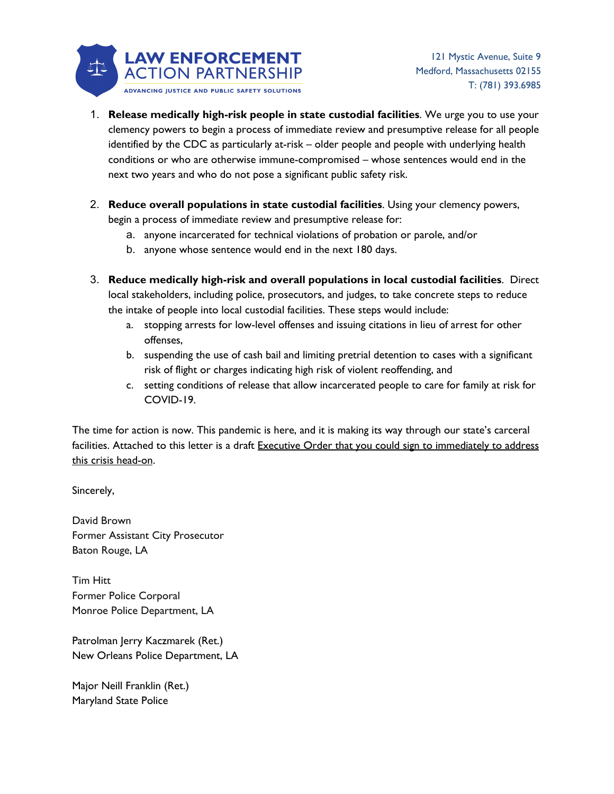

- 1. **Release medically high-risk people in state custodial facilities**. We urge you to use your clemency powers to begin a process of immediate review and presumptive release for all people identified by the CDC as particularly at-risk – older people and people with underlying health conditions or who are otherwise immune-compromised – whose sentences would end in the next two years and who do not pose a significant public safety risk.
- 2. **Reduce overall populations in state custodial facilities**. Using your clemency powers, begin a process of immediate review and presumptive release for:
	- a. anyone incarcerated for technical violations of probation or parole, and/or
	- b. anyone whose sentence would end in the next 180 days.
- 3. **Reduce medically high-risk and overall populations in local custodial facilities**. Direct local stakeholders, including police, prosecutors, and judges, to take concrete steps to reduce the intake of people into local custodial facilities. These steps would include:
	- a. stopping arrests for low-level offenses and issuing citations in lieu of arrest for other offenses,
	- b. suspending the use of cash bail and limiting pretrial detention to cases with a significant risk of flight or charges indicating high risk of violent reoffending, and
	- c. setting conditions of release that allow incarcerated people to care for family at risk for COVID-19.

The time for action is now. This pandemic is here, and it is making its way through our state's carceral facilities. Attached to this letter is a draft Executive Order that you could sign to immediately to address this crisis head-on.

Sincerely,

David Brown Former Assistant City Prosecutor Baton Rouge, LA

Tim Hitt Former Police Corporal Monroe Police Department, LA

Patrolman Jerry Kaczmarek (Ret.) New Orleans Police Department, LA

Major Neill Franklin (Ret.) Maryland State Police